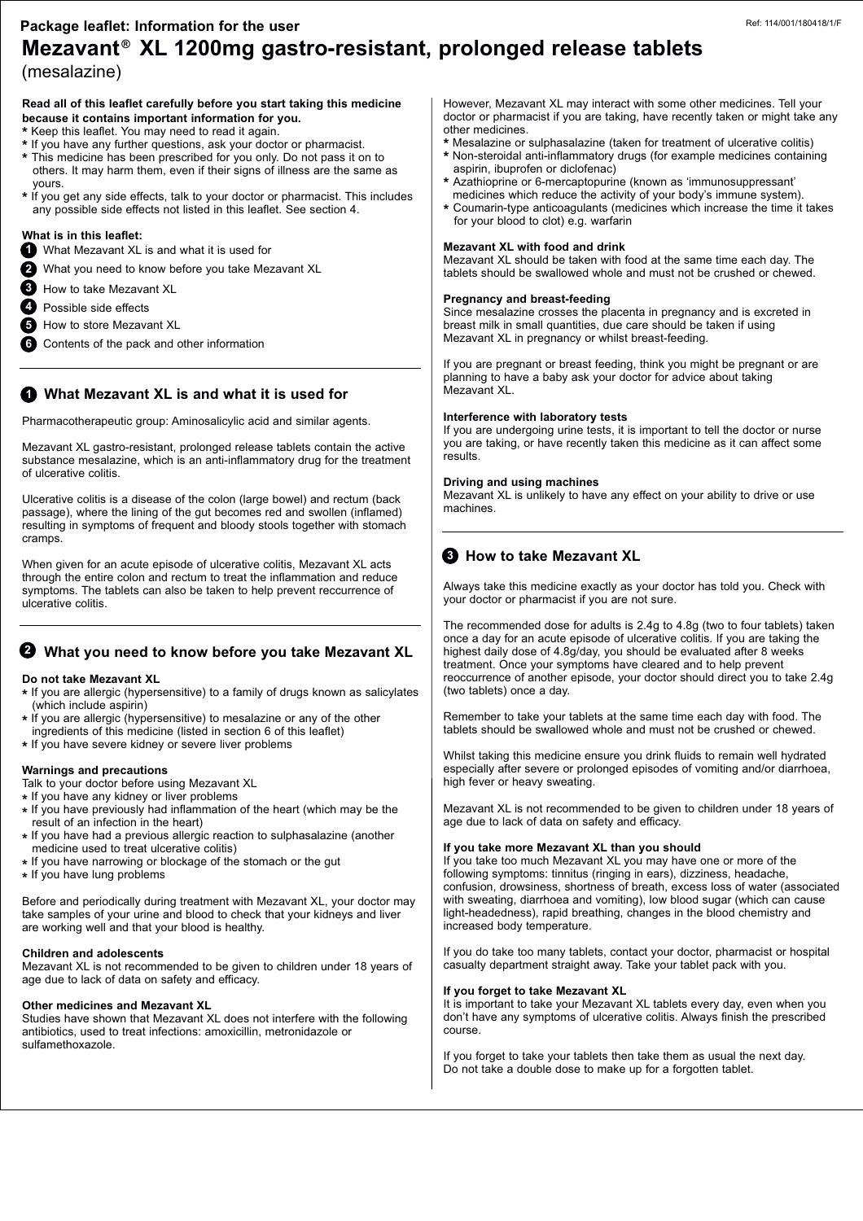## **Mezavant XL 1200mg gastro-resistant, prolonged release tablets ®** (mesalazine) **Package leaflet: Information for the user**

## **Read all of this leaflet carefully before you start taking this medicine because it contains important information for you.**

- **\*** Keep this leaflet. You may need to read it again.
- **\*** If you have any further questions, ask your doctor or pharmacist.
- **\*** This medicine has been prescribed for you only. Do not pass it on to others. It may harm them, even if their signs of illness are the same as yours.
- **\*** If you get any side effects, talk to your doctor or pharmacist. This includes any possible side effects not listed in this leaflet. See section 4.

## **What is in this leaflet:**

- What Mezavant XL is and what it is used for **1**
- What you need to know before you take Mezavant XL **2**
- How to take Mezavant XL **3**
- Possible side effects **4**
- **5** How to store Mezavant XL
- Contents of the pack and other information **6**

## **What Mezavant XL is and what it is used for 1**

Pharmacotherapeutic group: Aminosalicylic acid and similar agents.

Mezavant XL gastro-resistant, prolonged release tablets contain the active substance mesalazine, which is an anti-inflammatory drug for the treatment of ulcerative colitis.

Ulcerative colitis is a disease of the colon (large bowel) and rectum (back passage), where the lining of the gut becomes red and swollen (inflamed) resulting in symptoms of frequent and bloody stools together with stomach cramps.

When given for an acute episode of ulcerative colitis, Mezavant XL acts through the entire colon and rectum to treat the inflammation and reduce symptoms. The tablets can also be taken to help prevent reccurrence of ulcerative colitis.

## **What you need to know before you take Mezavant XL 2**

#### **Do not take Mezavant XL**

- **\*** If you are allergic (hypersensitive) to a family of drugs known as salicylates (which include aspirin)
- **\*** If you are allergic (hypersensitive) to mesalazine or any of the other ingredients of this medicine (listed in section 6 of this leaflet)
- **\*** If you have severe kidney or severe liver problems

#### **Warnings and precautions**

- Talk to your doctor before using Mezavant XL
- **\*** If you have any kidney or liver problems
- **\*** If you have previously had inflammation of the heart (which may be the result of an infection in the heart)
- **\*** If you have had a previous allergic reaction to sulphasalazine (another medicine used to treat ulcerative colitis)
- **\*** If you have narrowing or blockage of the stomach or the gut
- **\*** If you have lung problems

Before and periodically during treatment with Mezavant XL, your doctor may take samples of your urine and blood to check that your kidneys and liver are working well and that your blood is healthy.

#### **Children and adolescents**

Mezavant XL is not recommended to be given to children under 18 years of age due to lack of data on safety and efficacy.

#### **Other medicines and Mezavant XL**

Studies have shown that Mezavant XL does not interfere with the following antibiotics, used to treat infections: amoxicillin, metronidazole or sulfamethoxazole.

However, Mezavant XL may interact with some other medicines. Tell your doctor or pharmacist if you are taking, have recently taken or might take any other medicines.

- **\*** Mesalazine or sulphasalazine (taken for treatment of ulcerative colitis)
- **\*** Non-steroidal anti-inflammatory drugs (for example medicines containing aspirin, ibuprofen or diclofenac)
- **\*** Azathioprine or 6-mercaptopurine (known as 'immunosuppressant' medicines which reduce the activity of your body's immune system).
- **\*** Coumarin-type anticoagulants (medicines which increase the time it takes for your blood to clot) e.g. warfarin

#### **Mezavant XL with food and drink**

Mezavant XL should be taken with food at the same time each day. The tablets should be swallowed whole and must not be crushed or chewed.

#### **Pregnancy and breast-feeding**

Since mesalazine crosses the placenta in pregnancy and is excreted in breast milk in small quantities, due care should be taken if using Mezavant XL in pregnancy or whilst breast-feeding.

If you are pregnant or breast feeding, think you might be pregnant or are planning to have a baby ask your doctor for advice about taking Mezavant XL.

#### **Interference with laboratory tests**

If you are undergoing urine tests, it is important to tell the doctor or nurse you are taking, or have recently taken this medicine as it can affect some results.

#### **Driving and using machines**

Mezavant XL is unlikely to have any effect on your ability to drive or use machines.

## **How to take Mezavant XL 3**

Always take this medicine exactly as your doctor has told you. Check with your doctor or pharmacist if you are not sure.

The recommended dose for adults is 2.4g to 4.8g (two to four tablets) taken once a day for an acute episode of ulcerative colitis. If you are taking the highest daily dose of 4.8g/day, you should be evaluated after 8 weeks treatment. Once your symptoms have cleared and to help prevent reoccurrence of another episode, your doctor should direct you to take 2.4g (two tablets) once a day.

Remember to take your tablets at the same time each day with food. The tablets should be swallowed whole and must not be crushed or chewed.

Whilst taking this medicine ensure you drink fluids to remain well hydrated especially after severe or prolonged episodes of vomiting and/or diarrhoea, high fever or heavy sweating.

Mezavant XL is not recommended to be given to children under 18 years of age due to lack of data on safety and efficacy.

#### **If you take more Mezavant XL than you should**

If you take too much Mezavant XL you may have one or more of the following symptoms: tinnitus (ringing in ears), dizziness, headache, confusion, drowsiness, shortness of breath, excess loss of water (associated with sweating, diarrhoea and vomiting), low blood sugar (which can cause light-headedness), rapid breathing, changes in the blood chemistry and increased body temperature.

If you do take too many tablets, contact your doctor, pharmacist or hospital casualty department straight away. Take your tablet pack with you.

#### **If you forget to take Mezavant XL**

It is important to take your Mezavant XL tablets every day, even when you don't have any symptoms of ulcerative colitis. Always finish the prescribed course.

If you forget to take your tablets then take them as usual the next day. Do not take a double dose to make up for a forgotten tablet.